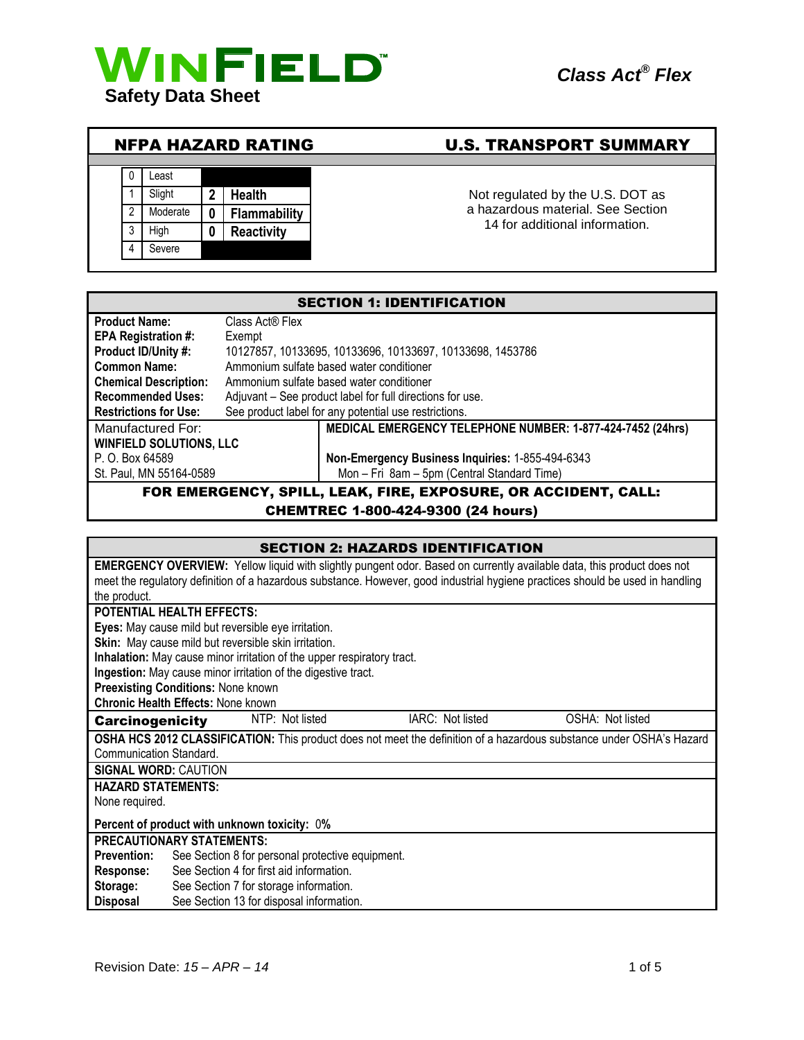



# NFPA HAZARD RATING U.S. TRANSPORT SUMMARY

Not regulated by the U.S. DOT as a hazardous material. See Section 14 for additional information.

| <b>SECTION 1: IDENTIFICATION</b>                               |                                                            |                                                  |  |
|----------------------------------------------------------------|------------------------------------------------------------|--------------------------------------------------|--|
| <b>Product Name:</b>                                           | Class Act® Flex                                            |                                                  |  |
| EPA Registration #:                                            | Exempt                                                     |                                                  |  |
| Product ID/Unity #:                                            | 10127857, 10133695, 10133696, 10133697, 10133698, 1453786  |                                                  |  |
| <b>Common Name:</b>                                            | Ammonium sulfate based water conditioner                   |                                                  |  |
| <b>Chemical Description:</b>                                   | Ammonium sulfate based water conditioner                   |                                                  |  |
| <b>Recommended Uses:</b>                                       | Adjuvant - See product label for full directions for use.  |                                                  |  |
| <b>Restrictions for Use:</b>                                   | See product label for any potential use restrictions.      |                                                  |  |
| Manufactured For:                                              | MEDICAL EMERGENCY TELEPHONE NUMBER: 1-877-424-7452 (24hrs) |                                                  |  |
| <b>WINFIELD SOLUTIONS, LLC</b>                                 |                                                            |                                                  |  |
| P. O. Box 64589                                                |                                                            | Non-Emergency Business Inquiries: 1-855-494-6343 |  |
| St. Paul, MN 55164-0589                                        |                                                            | Mon - Fri 8am - 5pm (Central Standard Time)      |  |
| FOR EMERGENCY, SPILL, LEAK, FIRE, EXPOSURE, OR ACCIDENT, CALL: |                                                            |                                                  |  |

### CHEMTREC 1-800-424-9300 (24 hours)

| <b>SECTION 2: HAZARDS IDENTIFICATION</b>                                                                                      |                                                                                                                                |  |                  |                                                                                                                      |
|-------------------------------------------------------------------------------------------------------------------------------|--------------------------------------------------------------------------------------------------------------------------------|--|------------------|----------------------------------------------------------------------------------------------------------------------|
| <b>EMERGENCY OVERVIEW:</b> Yellow liquid with slightly pungent odor. Based on currently available data, this product does not |                                                                                                                                |  |                  |                                                                                                                      |
|                                                                                                                               | meet the regulatory definition of a hazardous substance. However, good industrial hygiene practices should be used in handling |  |                  |                                                                                                                      |
| the product.                                                                                                                  |                                                                                                                                |  |                  |                                                                                                                      |
| <b>POTENTIAL HEALTH EFFECTS:</b>                                                                                              |                                                                                                                                |  |                  |                                                                                                                      |
|                                                                                                                               | Eyes: May cause mild but reversible eye irritation.                                                                            |  |                  |                                                                                                                      |
|                                                                                                                               | Skin: May cause mild but reversible skin irritation.                                                                           |  |                  |                                                                                                                      |
|                                                                                                                               | Inhalation: May cause minor irritation of the upper respiratory tract.                                                         |  |                  |                                                                                                                      |
|                                                                                                                               | Ingestion: May cause minor irritation of the digestive tract.                                                                  |  |                  |                                                                                                                      |
|                                                                                                                               | <b>Preexisting Conditions: None known</b>                                                                                      |  |                  |                                                                                                                      |
|                                                                                                                               | <b>Chronic Health Effects: None known</b>                                                                                      |  |                  |                                                                                                                      |
| <b>Carcinogenicity</b>                                                                                                        | NTP: Not listed                                                                                                                |  | IARC: Not listed | OSHA: Not listed                                                                                                     |
|                                                                                                                               |                                                                                                                                |  |                  | OSHA HCS 2012 CLASSIFICATION: This product does not meet the definition of a hazardous substance under OSHA's Hazard |
| Communication Standard.                                                                                                       |                                                                                                                                |  |                  |                                                                                                                      |
| <b>SIGNAL WORD: CAUTION</b>                                                                                                   |                                                                                                                                |  |                  |                                                                                                                      |
| <b>HAZARD STATEMENTS:</b>                                                                                                     |                                                                                                                                |  |                  |                                                                                                                      |
| None required.                                                                                                                |                                                                                                                                |  |                  |                                                                                                                      |
| Percent of product with unknown toxicity: 0%                                                                                  |                                                                                                                                |  |                  |                                                                                                                      |
| PRECAUTIONARY STATEMENTS:                                                                                                     |                                                                                                                                |  |                  |                                                                                                                      |
| <b>Prevention:</b>                                                                                                            | See Section 8 for personal protective equipment.                                                                               |  |                  |                                                                                                                      |
| Response:                                                                                                                     | See Section 4 for first aid information.                                                                                       |  |                  |                                                                                                                      |
| Storage:                                                                                                                      | See Section 7 for storage information.                                                                                         |  |                  |                                                                                                                      |
| Disposal                                                                                                                      | See Section 13 for disposal information.                                                                                       |  |                  |                                                                                                                      |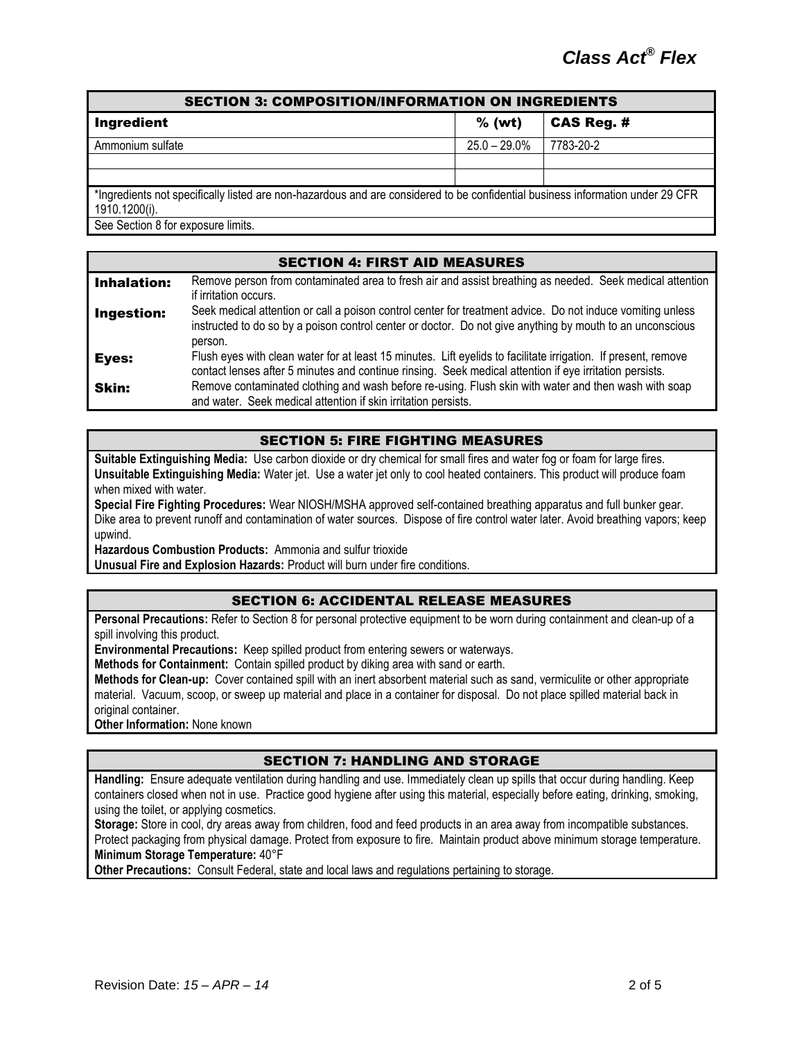| <b>SECTION 3: COMPOSITION/INFORMATION ON INGREDIENTS</b>                                                                       |                 |                   |  |
|--------------------------------------------------------------------------------------------------------------------------------|-----------------|-------------------|--|
| Ingredient                                                                                                                     | $%$ (wt)        | <b>CAS Reg. #</b> |  |
| Ammonium sulfate                                                                                                               | $25.0 - 29.0\%$ | 7783-20-2         |  |
|                                                                                                                                |                 |                   |  |
|                                                                                                                                |                 |                   |  |
| *Ingredients not specifically listed are non-hazardous and are considered to be confidential business information under 29 CFR |                 |                   |  |
| 1910.1200(i).                                                                                                                  |                 |                   |  |
| See Section 8 for exposure limits.                                                                                             |                 |                   |  |

| <b>SECTION 4: FIRST AID MEASURES</b> |                                                                                                                                                                                                                                    |  |  |
|--------------------------------------|------------------------------------------------------------------------------------------------------------------------------------------------------------------------------------------------------------------------------------|--|--|
| <b>Inhalation:</b>                   | Remove person from contaminated area to fresh air and assist breathing as needed. Seek medical attention<br>if irritation occurs.                                                                                                  |  |  |
| Ingestion:                           | Seek medical attention or call a poison control center for treatment advice. Do not induce vomiting unless<br>instructed to do so by a poison control center or doctor. Do not give anything by mouth to an unconscious<br>person. |  |  |
| Eyes:                                | Flush eyes with clean water for at least 15 minutes. Lift eyelids to facilitate irrigation. If present, remove<br>contact lenses after 5 minutes and continue rinsing. Seek medical attention if eye irritation persists.          |  |  |
| Skin:                                | Remove contaminated clothing and wash before re-using. Flush skin with water and then wash with soap<br>and water. Seek medical attention if skin irritation persists.                                                             |  |  |

# SECTION 5: FIRE FIGHTING MEASURES

**Suitable Extinguishing Media:** Use carbon dioxide or dry chemical for small fires and water fog or foam for large fires. **Unsuitable Extinguishing Media:** Water jet. Use a water jet only to cool heated containers. This product will produce foam when mixed with water.

**Special Fire Fighting Procedures:** Wear NIOSH/MSHA approved self-contained breathing apparatus and full bunker gear. Dike area to prevent runoff and contamination of water sources. Dispose of fire control water later. Avoid breathing vapors; keep upwind.

**Hazardous Combustion Products:** Ammonia and sulfur trioxide

**Unusual Fire and Explosion Hazards:** Product will burn under fire conditions.

#### SECTION 6: ACCIDENTAL RELEASE MEASURES

**Personal Precautions:** Refer to Section 8 for personal protective equipment to be worn during containment and clean-up of a spill involving this product.

**Environmental Precautions:** Keep spilled product from entering sewers or waterways.

**Methods for Containment:** Contain spilled product by diking area with sand or earth.

**Methods for Clean-up:** Cover contained spill with an inert absorbent material such as sand, vermiculite or other appropriate material. Vacuum, scoop, or sweep up material and place in a container for disposal. Do not place spilled material back in original container.

**Other Information:** None known

# SECTION 7: HANDLING AND STORAGE

**Handling:** Ensure adequate ventilation during handling and use. Immediately clean up spills that occur during handling. Keep containers closed when not in use. Practice good hygiene after using this material, especially before eating, drinking, smoking, using the toilet, or applying cosmetics.

**Storage:** Store in cool, dry areas away from children, food and feed products in an area away from incompatible substances. Protect packaging from physical damage. Protect from exposure to fire. Maintain product above minimum storage temperature. **Minimum Storage Temperature:** 40°F

**Other Precautions:** Consult Federal, state and local laws and regulations pertaining to storage.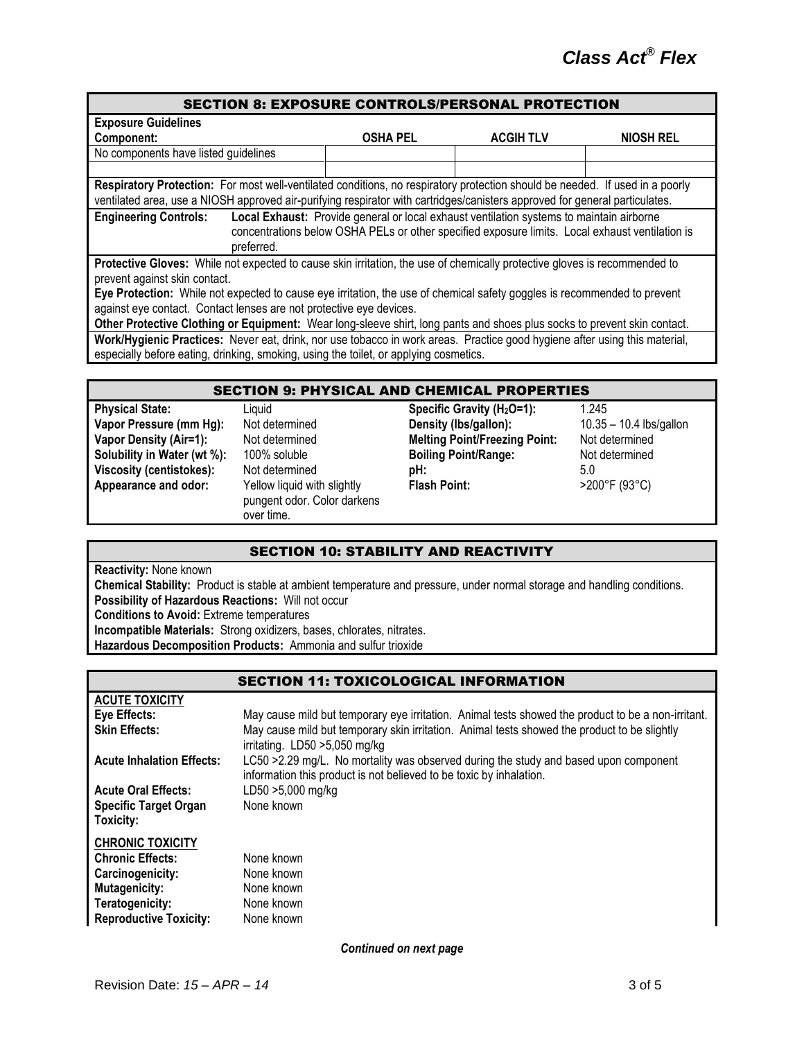| <b>SECTION 8: EXPOSURE CONTROLS/PERSONAL PROTECTION</b>                                                                                                                                                                                                     |                 |                  |           |  |
|-------------------------------------------------------------------------------------------------------------------------------------------------------------------------------------------------------------------------------------------------------------|-----------------|------------------|-----------|--|
| <b>Exposure Guidelines</b>                                                                                                                                                                                                                                  |                 |                  |           |  |
| Component:                                                                                                                                                                                                                                                  | <b>OSHA PEL</b> | <b>ACGIH TLV</b> | NIOSH REL |  |
| No components have listed guidelines                                                                                                                                                                                                                        |                 |                  |           |  |
|                                                                                                                                                                                                                                                             |                 |                  |           |  |
| Respiratory Protection: For most well-ventilated conditions, no respiratory protection should be needed. If used in a poorly<br>ventilated area, use a NIOSH approved air-purifying respirator with cartridges/canisters approved for general particulates. |                 |                  |           |  |
| Local Exhaust: Provide general or local exhaust ventilation systems to maintain airborne<br><b>Engineering Controls:</b><br>concentrations below OSHA PELs or other specified exposure limits. Local exhaust ventilation is<br>preferred.                   |                 |                  |           |  |
| Protective Gloves: While not expected to cause skin irritation, the use of chemically protective gloves is recommended to                                                                                                                                   |                 |                  |           |  |
| prevent against skin contact.<br>Eye Protection: While not expected to cause eye irritation, the use of chemical safety goggles is recommended to prevent<br>against eye contact. Contact lenses are not protective eye devices.                            |                 |                  |           |  |
| Other Protective Clothing or Equipment: Wear long-sleeve shirt, long pants and shoes plus socks to prevent skin contact.                                                                                                                                    |                 |                  |           |  |
| Work/Hygienic Practices: Never eat, drink, nor use tobacco in work areas. Practice good hygiene after using this material,<br>especially before eating, drinking, smoking, using the toilet, or applying cosmetics.                                         |                 |                  |           |  |

| <b>SECTION 9: PHYSICAL AND CHEMICAL PROPERTIES</b> |                                                                          |                                        |                           |  |
|----------------------------------------------------|--------------------------------------------------------------------------|----------------------------------------|---------------------------|--|
| <b>Physical State:</b>                             | Liquid                                                                   | Specific Gravity (H <sub>2</sub> O=1): | 1.245                     |  |
| Vapor Pressure (mm Hg):                            | Not determined                                                           | Density (Ibs/gallon):                  | $10.35 - 10.4$ lbs/gallon |  |
| <b>Vapor Density (Air=1):</b>                      | Not determined                                                           | <b>Melting Point/Freezing Point:</b>   | Not determined            |  |
| Solubility in Water (wt %):                        | 100% soluble                                                             | <b>Boiling Point/Range:</b>            | Not determined            |  |
| Viscosity (centistokes):                           | Not determined                                                           | pH:                                    | 5.0                       |  |
| Appearance and odor:                               | Yellow liquid with slightly<br>pungent odor. Color darkens<br>over time. | <b>Flash Point:</b>                    | >200°F (93°C)             |  |
|                                                    |                                                                          |                                        |                           |  |

### SECTION 10: STABILITY AND REACTIVITY

**Reactivity:** None known

**Chemical Stability:** Product is stable at ambient temperature and pressure, under normal storage and handling conditions. **Possibility of Hazardous Reactions:** Will not occur

**Conditions to Avoid:** Extreme temperatures

**Incompatible Materials:** Strong oxidizers, bases, chlorates, nitrates.

**Hazardous Decomposition Products:** Ammonia and sulfur trioxide

| <b>SECTION 11: TOXICOLOGICAL INFORMATION</b> |                                                                                                                                                             |  |  |
|----------------------------------------------|-------------------------------------------------------------------------------------------------------------------------------------------------------------|--|--|
| <b>ACUTE TOXICITY</b>                        |                                                                                                                                                             |  |  |
| Eye Effects:                                 | May cause mild but temporary eye irritation. Animal tests showed the product to be a non-irritant.                                                          |  |  |
| <b>Skin Effects:</b>                         | May cause mild but temporary skin irritation. Animal tests showed the product to be slightly<br>irritating. LD50 > 5,050 mg/kg                              |  |  |
| <b>Acute Inhalation Effects:</b>             | LC50 >2.29 mg/L. No mortality was observed during the study and based upon component<br>information this product is not believed to be toxic by inhalation. |  |  |
| <b>Acute Oral Effects:</b>                   | LD50 >5,000 mg/kg                                                                                                                                           |  |  |
| <b>Specific Target Organ</b><br>Toxicity:    | None known                                                                                                                                                  |  |  |
| <b>CHRONIC TOXICITY</b>                      |                                                                                                                                                             |  |  |
| <b>Chronic Effects:</b>                      | None known                                                                                                                                                  |  |  |
| Carcinogenicity:                             | None known                                                                                                                                                  |  |  |
| <b>Mutagenicity:</b>                         | None known                                                                                                                                                  |  |  |
| Teratogenicity:                              | None known                                                                                                                                                  |  |  |
| <b>Reproductive Toxicity:</b>                | None known                                                                                                                                                  |  |  |

*Continued on next page*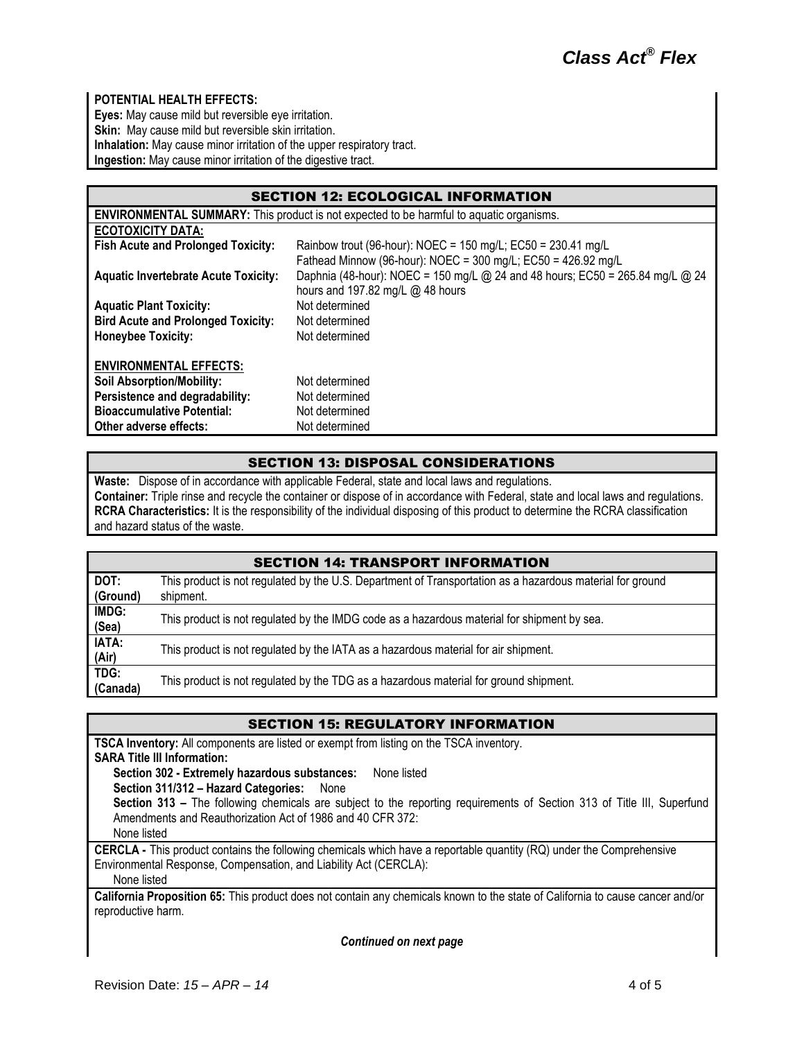### **POTENTIAL HEALTH EFFECTS:**

**Eyes:** May cause mild but reversible eye irritation. **Skin:** May cause mild but reversible skin irritation. **Inhalation:** May cause minor irritation of the upper respiratory tract. **Ingestion:** May cause minor irritation of the digestive tract.

| <b>SECTION 12: ECOLOGICAL INFORMATION</b>                                                      |                                                                                                                               |  |  |
|------------------------------------------------------------------------------------------------|-------------------------------------------------------------------------------------------------------------------------------|--|--|
| <b>ENVIRONMENTAL SUMMARY:</b> This product is not expected to be harmful to aquatic organisms. |                                                                                                                               |  |  |
| <b>ECOTOXICITY DATA:</b>                                                                       |                                                                                                                               |  |  |
| <b>Fish Acute and Prolonged Toxicity:</b>                                                      | Rainbow trout (96-hour): NOEC = 150 mg/L; EC50 = 230.41 mg/L<br>Fathead Minnow (96-hour): NOEC = 300 mg/L; EC50 = 426.92 mg/L |  |  |
| <b>Aquatic Invertebrate Acute Toxicity:</b>                                                    | Daphnia (48-hour): NOEC = 150 mg/L @ 24 and 48 hours; EC50 = 265.84 mg/L @ 24<br>hours and 197.82 mg/L @ 48 hours             |  |  |
| <b>Aquatic Plant Toxicity:</b>                                                                 | Not determined                                                                                                                |  |  |
| <b>Bird Acute and Prolonged Toxicity:</b>                                                      | Not determined                                                                                                                |  |  |
| <b>Honeybee Toxicity:</b>                                                                      | Not determined                                                                                                                |  |  |
| <b>ENVIRONMENTAL EFFECTS:</b>                                                                  |                                                                                                                               |  |  |
| <b>Soil Absorption/Mobility:</b>                                                               | Not determined                                                                                                                |  |  |
| Persistence and degradability:                                                                 | Not determined                                                                                                                |  |  |
| <b>Bioaccumulative Potential:</b>                                                              | Not determined                                                                                                                |  |  |
| Other adverse effects:                                                                         | Not determined                                                                                                                |  |  |

### SECTION 13: DISPOSAL CONSIDERATIONS

**Waste:** Dispose of in accordance with applicable Federal, state and local laws and regulations. **Container:** Triple rinse and recycle the container or dispose of in accordance with Federal, state and local laws and regulations. **RCRA Characteristics:** It is the responsibility of the individual disposing of this product to determine the RCRA classification and hazard status of the waste.

| <b>SECTION 14: TRANSPORT INFORMATION</b> |                                                                                                                        |  |  |
|------------------------------------------|------------------------------------------------------------------------------------------------------------------------|--|--|
| DOT:<br>(Ground)                         | This product is not regulated by the U.S. Department of Transportation as a hazardous material for ground<br>shipment. |  |  |
| IMDG:<br>(Sea)                           | This product is not regulated by the IMDG code as a hazardous material for shipment by sea.                            |  |  |
| IATA:<br>(Air)                           | This product is not regulated by the IATA as a hazardous material for air shipment.                                    |  |  |
| TDG:<br>(Canada)                         | This product is not regulated by the TDG as a hazardous material for ground shipment.                                  |  |  |

#### SECTION 15: REGULATORY INFORMATION

**TSCA Inventory:** All components are listed or exempt from listing on the TSCA inventory. **SARA Title III Information: Section 302 - Extremely hazardous substances:** None listed **Section 311/312 – Hazard Categories:** None **Section 313 –** The following chemicals are subject to the reporting requirements of Section 313 of Title III, Superfund Amendments and Reauthorization Act of 1986 and 40 CFR 372: None listed **CERCLA -** This product contains the following chemicals which have a reportable quantity (RQ) under the Comprehensive Environmental Response, Compensation, and Liability Act (CERCLA): None listed

**California Proposition 65:** This product does not contain any chemicals known to the state of California to cause cancer and/or reproductive harm.

*Continued on next page*